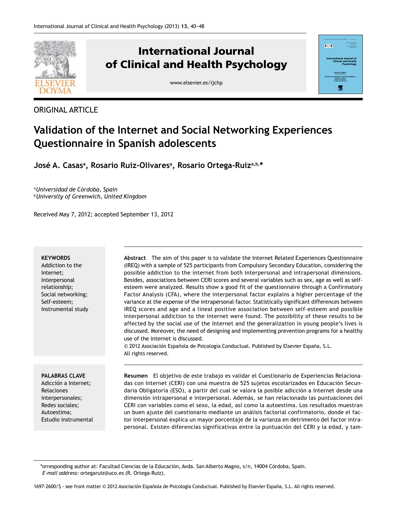

# **International Journal of Clinical and Health Psychology**

www.elsevier.es/ijchp



#### $\overline{1}$ **International Journal of Clinical and Health Psychology Director / Editor: Directores Asociados / Associate Editors: Stephen N. Haynes Gualberto Buela-Casal** 饗

# **Validation of the Internet and Social Networking Experiences Questionnaire in Spanish adolescents**

José A. Casasª, Rosario Ruiz-Olivaresª, Rosario Ortega-Ruizª<sup>,b,\*</sup>

<sup>a</sup>*Universidad de Córdoba, Spain*  <sup>b</sup>*University of Greenwich, United Kingdom*

Received May 7, 2012; accepted September 13, 2012

#### **KEYWORDS**

Addiction to the Internet; Interpersonal relationship; Social networking; Self-esteem; Instrumental study **Abstract** The aim of this paper is to validate the Internet Related Experiences Questionnaire (IREQ) with a sample of 525 participants from Compulsory Secondary Education, considering the possible addiction to the internet from both interpersonal and intrapersonal dimensions. Besides, associations between CERI scores and several variables such as sex, age as well as selfesteem were analyzed. Results show a good fit of the questionnaire through a Confirmatory Factor Analysis (CFA), where the interpersonal factor explains a higher percentage of the variance at the expense of the intrapersonal factor. Statistically significant differences between IREQ scores and age and a lineal positive association between self-esteem and possible interpersonal addiction to the internet were found. The possibility of these results to be affected by the social use of the Internet and the generalization in young people's lives is discussed. Moreover, the need of designing and implementing prevention programs for a healthy use of the internet is discussed.

© 2012 Asociación Española de Psicología Conductual. Published by Elsevier España, S.L. All rights reserved.

#### **PALABRAS CLAVE**

Adicción a Internet; Relaciones interpersonales; Redes sociales; Autoestima; Estudio instrumental **Resumen** El objetivo de este trabajo es validar el Cuestionario de Experiencias Relacionadas con Internet (CERI) con una muestra de 525 sujetos escolarizados en Educación Secundaria Obligatoria (ESO), a partir del cual se valora la posible adicción a Internet desde una dimensión intrapersonal e interpersonal. Además, se han relacionado las puntuaciones del CERI con variables como el sexo, la edad, así como la autoestima. Los resultados muestran un buen ajuste del cuestionario mediante un análisis factorial confirmatorio, donde el factor interpersonal explica un mayor porcentaje de la varianza en detrimento del factor intrapersonal. Existen diferencias significativas entre la puntuación del CERI y la edad, y tam-

<sup>\*</sup>orresponding author at: Facultad Ciencias de la Educación, Avda. San Alberto Magno, s/n, 14004 Córdoba, Spain.  *E-mail address:* ortegaruiz@uco.es (R. Ortega-Ruiz).

<sup>1697-2600/\$ -</sup> see front matter © 2012 Asociación Española de Psicología Conductual. Published by Elsevier España, S.L. All rights reserved.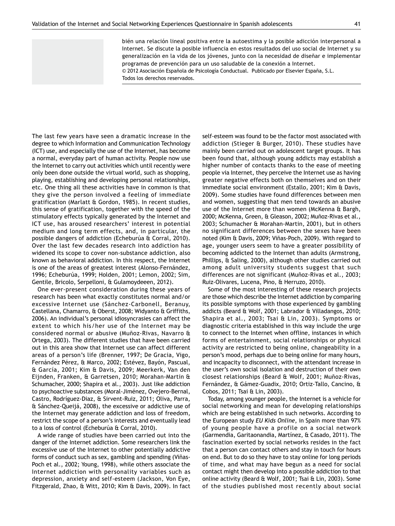bién una relación lineal positiva entre la autoestima y la posible adicción interpersonal a Internet. Se discute la posible influencia en estos resultados del uso social de Internet y su generalización en la vida de los jóvenes, junto con la necesidad de diseñar e implementar programas de prevención para un uso saludable de la conexión a Internet. © 2012 Asociación Española de Psicología Conductual. Publicado por Elsevier España, S.L.

Todos los derechos reservados.

The last few years have seen a dramatic increase in the degree to which Information and Communication Technology (ICT) use, and especially the use of the Internet, has become a normal, everyday part of human activity. People now use the Internet to carry out activities which until recently were only been done outside the virtual world, such as shopping, playing, establishing and developing personal relationships, etc. One thing all these activities have in common is that they give the person involved a feeling of immediate gratification (Marlatt & Gordon, 1985). In recent studies, this sense of gratification, together with the speed of the stimulatory effects typically generated by the Internet and ICT use, has aroused researchers' interest in potential medium and long term effects, and, in particular, the possible dangers of addiction (Echeburúa & Corral, 2010). Over the last few decades research into addiction has widened its scope to cover non-substance addiction, also known as behavioral addiction. In this respect, the Internet is one of the areas of greatest interest (Alonso-Fernández, 1996; Echeburúa, 1999; Holden, 2001; Lemon, 2002; Sim, Gentile, Bricolo, Serpelloni, & Gulamoydeeen, 2012).

One ever-present consideration during these years of research has been what exactly constitutes normal and/or excessive Internet use (Sánchez-Carbonell, Beranuy, Castellana, Chamarro, & Oberst, 2008; Widyanto & Griffiths, 2006). An individual's personal idiosyncrasies can affect the extent to which his/her use of the Internet may be considered normal or abusive (Muñoz-Rivas, Navarro & Ortega, 2003). The different studies that have been carried out in this area show that Internet use can affect different areas of a person's life (Brenner, 1997; De Gracia, Vigo, Fernández Pérez, & Marco, 2002; Estévez, Bayón, Pascual, & García, 2001; Kim & Davis, 2009; Meerkerk, Van den Eijnden, Franken, & Garretsen, 2010; Morahan-Martin & Schumacher, 2000; Shapira et al., 2003). Just like addiction to psychoactive substances (Moral-Jiménez, Ovejero-Bernal, Castro, Rodríguez-Diaz, & Sirvent-Ruiz, 2011; Oliva, Parra, & Sánchez-Queijá, 2008), the excessive or addictive use of the Internet may generate addiction and loss of freedom, restrict the scope of a person's interests and eventually lead to a loss of control (Echeburúa & Corral, 2010).

A wide range of studies have been carried out into the danger of the Internet addiction. Some researchers link the excessive use of the Internet to other potentially addictive forms of conduct such as sex, gambling and spending (Viñas-Poch et al., 2002; Young, 1998), while others associate the Internet addiction with personality variables such as depression, anxiety and self-esteem (Jackson, Von Eye, Fitzgerald, Zhao, & Witt, 2010; Kim & Davis, 2009). In fact self-esteem was found to be the factor most associated with addiction (Stieger & Burger, 2010). These studies have mainly been carried out on adolescent target groups. It has been found that, although young addicts may establish a higher number of contacts thanks to the ease of meeting people via Internet, they perceive the Internet use as having greater negative effects both on themselves and on their immediate social environment (Estallo, 2001; Kim & Davis, 2009). Some studies have found differences between men and women, suggesting that men tend towards an abusive use of the Internet more than women (McKenna & Bargh, 2000; McKenna, Green, & Gleason, 2002; Muñoz-Rivas et al., 2003; Schumacher & Morahan-Martin, 2001), but in others no significant differences between the sexes have been noted (Kim & Davis, 2009; Viñas-Poch, 2009). With regard to age, younger users seem to have a greater possibility of becoming addicted to the Internet than adults (Armstrong, Phillips, & Saling, 2000), although other studies carried out among adult university students suggest that such differences are not significant (Muñoz-Rivas et al., 2003; Ruiz-Olivares, Lucena, Pino, & Herruzo, 2010).

Some of the most interesting of these research projects are those which describe the Internet addiction by comparing its possible symptoms with those experienced by gambling addicts (Beard & Wolf, 2001; Labrador & Villadangos, 2010; Shapira et al., 2003; Tsai & Lin, 2003). Symptoms or diagnostic criteria established in this way include the urge to connect to the Internet when offline, instances in which forms of entertainment, social relationships or physical activity are restricted to being online, changeability in a person's mood, perhaps due to being online for many hours, and incapacity to disconnect, with the attendant increase in the user's own social isolation and destruction of their own closest relationships (Beard & Wolf, 2001; Muñoz-Rivas, Fernández, & Gámez-Guadix, 2010; Ortiz-Tallo, Cancino, & Cobos, 2011; Tsai & Lin, 2003).

Today, among younger people, the Internet is a vehicle for social networking and mean for developing relationships which are being established in such networks. According to the European study *EU Kids Online*, in Spain more than 97% of young people have a profile on a social network (Garmendia, Garitaonandia, Martínez, & Casado, 2011). The fascination exerted by social networks resides in the fact that a person can contact others and stay in touch for hours on end. But to do so they have to stay online for long periods of time, and what may have begun as a need for social contact might then develop into a possible addiction to that online activity (Beard & Wolf, 2001; Tsai & Lin, 2003). Some of the studies published most recently about social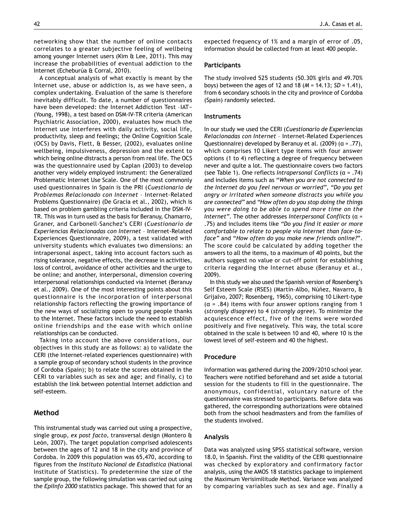networking show that the number of online contacts correlates to a greater subjective feeling of wellbeing among younger Internet users (Kim & Lee, 2011). This may increase the probabilities of eventual addiction to the Internet (Echeburúa & Corral, 2010).

A conceptual analysis of what exactly is meant by the Internet use, abuse or addiction is, as we have seen, a complex undertaking. Evaluation of the same is therefore inevitably difficult. To date, a number of questionnaires have been developed: the Internet Addiction Test –IAT− (Young, 1998), a test based on DSM-IV-TR criteria (American Psychiatric Association, 2000), evaluates how much the Internet use interferes with daily activity, social life, productivity, sleep and feelings; the Online Cognition Scale (OCS) by Davis, Flett, & Besser, (2002), evaluates online wellbeing, impulsiveness, depression and the extent to which being online distracts a person from real life. The OCS was the questionnaire used by Caplan (2003) to develop another very widely employed instrument: the Generalized Problematic Internet Use Scale. One of the most commonly used questionnaires in Spain is the PRI (*Cuestionario de Problemas Relacionado con Internet* – Internet-Related Problems Questionnaire) (De Gracia et al., 2002), which is based on problem gambling criteria included in the DSM-IV-TR. This was in turn used as the basis for Beranuy, Chamarro, Graner, and Carbonell-Sanchez's CERI (*Cuestionario de Experiencias Relacionadas con Internet* – Internet-Related Experiences Questionnaire, 2009), a test validated with university students which evaluates two dimensions: an intrapersonal aspect, taking into account factors such as rising tolerance, negative effects, the decrease in activities, loss of control, avoidance of other activities and the urge to be online; and another, interpersonal, dimension covering interpersonal relationships conducted via Internet (Beranuy et al., 2009). One of the most interesting points about this questionnaire is the incorporation of interpersonal relationship factors reflecting the growing importance of the new ways of socializing open to young people thanks to the Internet. These factors include the need to establish online friendships and the ease with which online relationships can be conducted.

Taking into account the above considerations, our objectives in this study are as follows: a) to validate the CERI (the Internet-related experiences questionnaire) with a sample group of secondary school students in the province of Cordoba (Spain); b) to relate the scores obtained in the CERI to variables such as sex and age; and finally, c) to establish the link between potential Internet addiction and self-esteem.

# **Method**

This instrumental study was carried out using a prospective, single group, *ex post facto,* transversal design (Montero & León, 2007). The target population comprised adolescents between the ages of 12 and 18 in the city and province of Cordoba. In 2009 this population was 65,470, according to figures from the *Instituto Nacional de Estadística* (National Institute of Statistics). To predetermine the size of the sample group, the following simulation was carried out using the *EpiInfo 2000* statistics package. This showed that for an

expected frequency of 1% and a margin of error of .05, information should be collected from at least 400 people.

## **Participants**

The study involved 525 students (50.30% girls and 49.70% boys) between the ages of 12 and 18 (*M* = 14.13; *SD* = 1.41), from 6 secondary schools in the city and province of Cordoba (Spain) randomly selected.

## **Instruments**

In our study we used the CERI (*Cuestionario de Experiencias Relacionadas con Internet* – Internet-Related Experiences Questionnaire) developed by Beranuy et al. (2009) ( $\alpha$  = .77), which comprises 10 Likert type items with four answer options (1 to 4) reflecting a degree of frequency between never and quite a lot. The questionnaire covers two factors (see Table 1). One reflects *Intrapersonal Conflicts* (α = .74) and includes items such as "*When you are not connected to the Internet do you feel nervous or worried", "Do you get angry or irritated when someone distracts you while you are connected"* and *"How often do you stop doing the things you were doing to be able to spend more time on the Internet"*. The other addresses *Interpersonal Conflicts* (α = .75) and includes items like *"Do you find it easier or more comfortable to relate to people via Internet than face-toface"* and "*How often do you make new friends online?*". The score could be calculated by adding together the answers to all the items, to a maximum of 40 points, but the authors suggest no value or cut-off point for establishing criteria regarding the Internet abuse (Beranuy et al., 2009).

In this study we also used the Spanish version of Rosenberg's Self Esteem Scale (RSES) (Martín-Albo, Núñez, Navarro, & Grijalvo, 2007; Rosenberg, 1965), comprising 10 Likert-type  $(\alpha = .84)$  items with four answer options ranging from 1 (*strongly disagree*) to 4 (*strongly agree*). To minimize the acquiescence effect, five of the items were worded positively and five negatively. This way, the total score obtained in the scale is between 10 and 40, where 10 is the lowest level of self-esteem and 40 the highest.

## **Procedure**

Information was gathered during the 2009/2010 school year. Teachers were notified beforehand and set aside a tutorial session for the students to fill in the questionnaire. The anonymous, confidential, voluntary nature of the questionnaire was stressed to participants. Before data was gathered, the corresponding authorizations were obtained both from the school headmasters and from the families of the students involved.

#### **Analysis**

Data was analyzed using SPSS statistical software, version 18.0, in Spanish. First the validity of the CERI questionnaire was checked by exploratory and confirmatory factor analysis, using the AMOS 18 statistics package to implement the Maximum Verisimilitude Method. Variance was analyzed by comparing variables such as sex and age. Finally a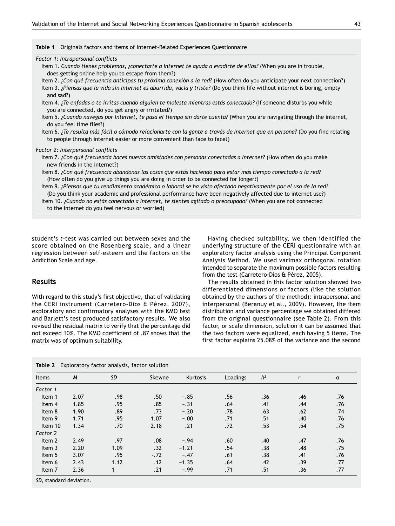|  |  |  |  |  | <b>Table 1</b> Originals factors and items of Internet-Related Experiences Questionnaire |  |  |
|--|--|--|--|--|------------------------------------------------------------------------------------------|--|--|
|--|--|--|--|--|------------------------------------------------------------------------------------------|--|--|

*Factor 1: Intrapersonal conflicts*

- Item 1. *Cuando tienes problemas, ¿conectarte a Internet te ayuda a evadirte de ellos?* (When you are in trouble, does getting online help you to escape from them?)
- Item 2. *¿Con qué frecuencia anticipas tu próxima conexión a la red?* (How often do you anticipate your next connection?)
- Item 3. *¿Piensas que la vida sin Internet es aburrida, vacía y triste?* (Do you think life without internet is boring, empty and sad?)
- Item 4. *¿Te enfadas o te irritas cuando alguien te molesta mientras estás conectado?* (If someone disturbs you while you are connected, do you get angry or irritated?)
- Item 5. *¿Cuando navegas por Internet, te pasa el tiempo sin darte cuenta?* (When you are navigating through the internet, do you feel time flies?)
- Item 6. *¿Te resulta más fácil o cómodo relacionarte con la gente a través de Internet que en persona?* (Do you find relating to people through internet easier or more convenient than face to face?)

#### *Factor 2: Interpersonal conflicts*

- Item 7. *¿Con qué frecuencia haces nuevas amistades con personas conectadas a Internet?* (How often do you make new friends in the internet?)
- Item 8. *¿Con qué frecuencia abandonas las cosas que estás haciendo para estar más tiempo conectado a la red?* (How often do you give up things you are doing in order to be connected for longer?)

Item 9. *¿Piensas que tu rendimiento académico o laboral se ha visto afectado negativamente por el uso de la red?* (Do you think your academic and professional performance have been negatively affected due to internet use?) Item 10. *¿Cuando no estás conectado a Internet, te sientes agitado o preocupado?* (When you are not connected to the Internet do you feel nervous or worried)

student's *t*-test was carried out between sexes and the score obtained on the Rosenberg scale, and a linear regression between self-esteem and the factors on the Addiction Scale and age.

## **Results**

With regard to this study's first objective, that of validating the CERI instrument (Carretero-Dios & Pérez, 2007), exploratory and confirmatory analyses with the KMO test and Barlett's test produced satisfactory results. We also revised the residual matrix to verify that the percentage did not exceed 10%. The KMO coefficient of .87 shows that the matrix was of optimum suitability.

Having checked suitability, we then identified the underlying structure of the CERI questionnaire with an exploratory factor analysis using the Principal Component Analysis Method. We used varimax orthogonal rotation intended to separate the maximum possible factors resulting from the test (Carretero-Dios & Pérez, 2005).

The results obtained in this factor solution showed two differentiated dimensions or factors (like the solution obtained by the authors of the method): intrapersonal and interpersonal (Beranuy et al., 2009). However, the item distribution and variance percentage we obtained differed from the original questionnaire (see Table 2). From this factor, or scale dimension, solution it can be assumed that the two factors were equalized, each having 5 items. The first factor explains 25.08% of the variance and the second

|  | <b>Table 2</b> Exploratory factor analysis, factor solution |  |  |  |  |
|--|-------------------------------------------------------------|--|--|--|--|
|--|-------------------------------------------------------------|--|--|--|--|

| Items    | $\overline{M}$ | <b>SD</b> | Skewne | Kurtosis | Loadings | h <sup>2</sup> |     | α   |
|----------|----------------|-----------|--------|----------|----------|----------------|-----|-----|
| Factor 1 |                |           |        |          |          |                |     |     |
| Item 1   | 2.07           | .98       | .50    | $-.85$   | .56      | .36            | .46 | .76 |
| Item 4   | 1.85           | .95       | .85    | $-.31$   | .64      | .41            | .44 | .76 |
| Item 8   | 1.90           | .89       | .73    | $-.20$   | .78      | .63            | .62 | .74 |
| Item 9   | 1.71           | .95       | 1.07   | $-.00$   | .71      | .51            | .40 | .76 |
| Item 10  | 1.34           | .70       | 2.18   | .21      | .72      | .53            | .54 | .75 |
| Factor 2 |                |           |        |          |          |                |     |     |
| Item 2   | 2.49           | .97       | .08    | $-.94$   | .60      | .40            | .47 | .76 |
| Item 3   | 2.20           | 1.09      | .32    | $-1.21$  | .54      | .38            | .48 | .75 |
| Item 5   | 3.07           | .95       | $-.72$ | $-.47$   | .61      | .38            | .41 | .76 |
| Item 6   | 2.43           | 1.12      | .12    | $-1.35$  | .64      | .42            | .39 | .77 |
| Item 7   | 2.36           |           | .21    | $-.99$   | .71      | .51            | .36 | .77 |

*SD*, standard deviation.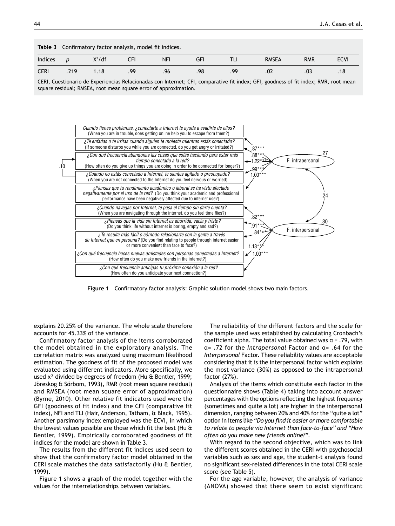|             | Table 3 Confirmatory factor analysis, model fit indices. |          |     |            |     |     |              |            |             |  |  |
|-------------|----------------------------------------------------------|----------|-----|------------|-----|-----|--------------|------------|-------------|--|--|
| Indices     | D                                                        | $X^2/df$ |     | <b>NFI</b> | GF  |     | <b>RMSEA</b> | <b>RMR</b> | <b>ECVI</b> |  |  |
| <b>CERI</b> | .219                                                     | 1.18     | .99 | .96        | .98 | .99 | .02          |            |             |  |  |
|             |                                                          |          |     |            |     |     |              |            |             |  |  |

CERI, Cuestionario de Experiencias Relacionadas con Internet; CFI, comparative fit index; GFI, goodness of fit index; RMR, root mean square residual; RMSEA, root mean square error of approximation.



**Figure 1** Confirmatory factor analysis: Graphic solution model shows two main factors.

explains 20.25% of the variance. The whole scale therefore accounts for 45.33% of the variance.

Confirmatory factor analysis of the items corroborated the model obtained in the exploratory analysis. The correlation matrix was analyzed using maximum likelihood estimation. The goodness of fit of the proposed model was evaluated using different indicators. More specifically, we used x<sup>2</sup> divided by degrees of freedom (Hu & Bentler, 1999; Jöreskog & Sörbom, 1993), RMR (root mean square residual) and RMSEA (root mean square error of approximation) (Byrne, 2010). Other relative fit indicators used were the GFI (goodness of fit index) and the CFI (comparative fit index), NFI and TLI (Hair, Anderson, Tatham, & Black, 1995). Another parsimony index employed was the ECVI, in which the lowest values possible are those which fit the best (Hu & Bentler, 1999). Empirically corroborated goodness of fit indices for the model are shown in Table 3.

The results from the different fit indices used seem to show that the confirmatory factor model obtained in the CERI scale matches the data satisfactorily (Hu & Bentler, 1999).

Figure 1 shows a graph of the model together with the values for the interrelationships between variables.

The reliability of the different factors and the scale for the sample used was established by calculating Cronbach's coefficient alpha. The total value obtained was  $\alpha$  = .79, with α= .72 for the *Intrapersonal* Factor and α= .64 for the *Interpersonal* Factor. These reliability values are acceptable considering that it is the interpersonal factor which explains the most variance (30%) as opposed to the intrapersonal factor (27%).

Analysis of the items which constitute each factor in the questionnaire shows (Table 4) taking into account answer percentages with the options reflecting the highest frequency (sometimes and quite a lot) are higher in the interpersonal dimension, ranging between 20% and 40% for the "quite a lot" option in items like "*Do you find it easier or more comfortable to relate to people via Internet than face-to-face" and "How often do you make new friends online?".*

With regard to the second objective, which was to link the different scores obtained in the CERI with psychosocial variables such as sex and age, the student-t analysis found no significant sex-related differences in the total CERI scale score (see Table 5).

For the age variable, however, the analysis of variance (ANOVA) showed that there seem to exist significant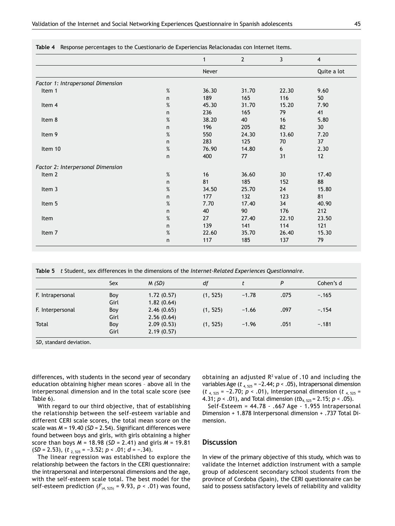|                                   |      | $\mathbf{1}$ | $\overline{2}$ | 3     | $\overline{4}$  |
|-----------------------------------|------|--------------|----------------|-------|-----------------|
|                                   |      | Never        |                |       | Quite a lot     |
| Factor 1: Intrapersonal Dimension |      |              |                |       |                 |
| Item 1                            | %    | 36.30        | 31.70          | 22.30 | 9.60            |
|                                   | n    | 189          | 165            | 116   | 50              |
| Item 4                            | %    | 45.30        | 31.70          | 15.20 | 7.90            |
|                                   | n    | 236          | 165            | 79    | 41              |
| Item 8                            | $\%$ | 38.20        | 40             | 16    | 5.80            |
|                                   | n.   | 196          | 205            | 82    | 30 <sup>°</sup> |
| Item 9                            | %    | 550          | 24.30          | 13.60 | 7.20            |
|                                   | n    | 283          | 125            | 70    | 37              |
| Item 10                           | $\%$ | 76.90        | 14.80          | 6     | 2.30            |
|                                   | n    | 400          | 77             | 31    | 12              |
| Factor 2: Interpersonal Dimension |      |              |                |       |                 |
| Item 2                            | %    | 16           | 36.60          | 30    | 17.40           |
|                                   | n.   | 81           | 185            | 152   | 88              |
| Item 3                            | $\%$ | 34.50        | 25.70          | 24    | 15.80           |
|                                   | n    | 177          | 132            | 123   | 81              |
| Item 5                            | $\%$ | 7.70         | 17.40          | 34    | 40.90           |
|                                   | n    | 40           | 90             | 176   | 212             |
| Item                              | $\%$ | 27           | 27.40          | 22.10 | 23.50           |
|                                   | n.   | 139          | 141            | 114   | 121             |
| Item 7                            | $\%$ | 22.60        | 35.70          | 26.40 | 15.30           |
|                                   | n.   | 117          | 185            | 137   | 79              |

**Table 4** Response percentages to the Cuestionario de Experiencias Relacionadas con Internet items.

**Table 5** *t* Student, sex differences in the dimensions of the *Internet-Related Experiences Questionnaire.*

|                  | Sex  | M(SD)      | df       |         | P    | Cohen's d |
|------------------|------|------------|----------|---------|------|-----------|
| F. Intrapersonal | Boy  | 1.72(0.57) | (1, 525) | $-1.78$ | .075 | $-.165$   |
|                  | Girl | 1.82(0.64) |          |         |      |           |
| F. Interpersonal | Boy  | 2.46(0.65) | (1, 525) | $-1.66$ | .097 | $-.154$   |
|                  | Girl | 2.56(0.64) |          |         |      |           |
| Total            | Boy  | 2.09(0.53) | (1, 525) | $-1.96$ | .051 | $-.181$   |
|                  | Girl | 2.19(0.57) |          |         |      |           |

*SD*, standard deviation.

differences, with students in the second year of secondary education obtaining higher mean scores – above all in the interpersonal dimension and in the total scale score (see Table 6).

With regard to our third objective, that of establishing the relationship between the self-esteem variable and different CERI scale scores, the total mean score on the scale was *M* = 19.40 (*SD* = 2.54). Significant differences were found between boys and girls, with girls obtaining a higher score than boys *M* = 18.98 (*SD* = 2.41) and girls *M* = 19.81 (*SD* = 2.53), (*t* 2, 525 = −3.52; *p* < .01; *d* = −.34).

The linear regression was established to explore the relationship between the factors in the CERI questionnaire: the intrapersonal and interpersonal dimensions and the age, with the self-esteem scale total. The best model for the self-esteem prediction  $(F_{(4, 525)} = 9.93, p < .01)$  was found, obtaining an adjusted  $R^2$  value of .10 and including the variables Age (*t* 4, 525 = −2.44; *p* < .05), Intrapersonal dimension (*t* 4, 525 = −2.70; *p* < .01), Interpersonal dimension (*t* 4, 525 = 4.31; *p* < .01), and Total dimension (*tb*4, 525 = 2.15; *p* < .05).

Self-Esteem = 44.78 - .667 Age - 1.955 Intrapersonal Dimension + 1.878 Interpersonal dimension + .737 Total Dimension.

# **Discussion**

In view of the primary objective of this study, which was to validate the Internet addiction instrument with a sample group of adolescent secondary school students from the province of Cordoba (Spain), the CERI questionnaire can be said to possess satisfactory levels of reliability and validity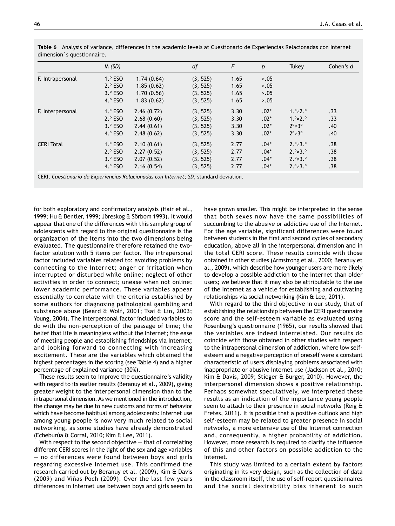|                   | M(SD)     |            | df       | F    | $\boldsymbol{p}$ | <b>Tukey</b>               | Cohen's d |
|-------------------|-----------|------------|----------|------|------------------|----------------------------|-----------|
| F. Intrapersonal  | $1.°$ ESO | 1.74(0.64) | (3, 525) | 1.65 | 5.05             |                            |           |
|                   | $2.°$ ESO | 1.85(0.62) | (3, 525) | 1.65 | 5.05             |                            |           |
|                   | $3.°$ ESO | 1.70(0.56) | (3, 525) | 1.65 | 5.05             |                            |           |
|                   | $4.°$ ESO | 1.83(0.62) | (3, 525) | 1.65 | 5.05             |                            |           |
| F. Interpersonal  | $1.°$ ESO | 2.46(0.72) | (3, 525) | 3.30 | $.02*$           | $1.° \neq 2.°$             | .33       |
|                   | $2.°$ ESO | 2.68(0.60) | (3, 525) | 3.30 | $.02*$           | $1.° \neq 2.°$             | .33       |
|                   | $3.°$ ESO | 2.44(0.61) | (3, 525) | 3.30 | $.02*$           | $2^{\circ} \neq 3^{\circ}$ | .40       |
|                   | $4.°$ ESO | 2.48(0.62) | (3, 525) | 3.30 | $.02*$           | $2^{\circ} \neq 3^{\circ}$ | .40       |
| <b>CERI Total</b> | $1.°$ ESO | 2.10(0.61) | (3, 525) | 2.77 | $.04*$           | $2.° = 3.°$                | .38       |
|                   | $2.°$ ESO | 2.27(0.52) | (3, 525) | 2.77 | $.04^*$          | $2.° = 3.°$                | .38       |
|                   | $3.°$ ESO | 2.07(0.52) | (3, 525) | 2.77 | $.04*$           | $2.° \neq 3.°$             | .38       |
|                   | $4.°$ ESO | 2.16(0.54) | (3, 525) | 2.77 | $.04*$           | $2.° \neq 3.°$             | .38       |

**Table 6** Analysis of variance, differences in the academic levels at Cuestionario de Experiencias Relacionadas con Internet dimension´s questionnaire.

for both exploratory and confirmatory analysis (Hair et al., 1999; Hu & Bentler, 1999; Jöreskog & Sörbom 1993). It would appear that one of the differences with this sample group of adolescents with regard to the original questionnaire is the organization of the items into the two dimensions being evaluated. The questionnaire therefore retained the twofactor solution with 5 items per factor. The intrapersonal factor included variables related to: avoiding problems by connecting to the Internet; anger or irritation when interrupted or disturbed while online; neglect of other activities in order to connect; unease when not online; lower academic performance. These variables appear essentially to correlate with the criteria established by some authors for diagnosing pathological gambling and substance abuse (Beard & Wolf, 2001; Tsai & Lin, 2003; Young, 2004). The interpersonal factor included variables to do with the non-perception of the passage of time; the belief that life is meaningless without the Internet; the ease of meeting people and establishing friendships via Internet;

and looking forward to connecting with increasing excitement. These are the variables which obtained the highest percentages in the scoring (see Table 4) and a higher percentage of explained variance (30%).

These results seem to improve the questionnaire's validity with regard to its earlier results (Beranuy et al., 2009), giving greater weight to the interpersonal dimension than to the intrapersonal dimension. As we mentioned in the introduction, the change may be due to new customs and forms of behavior which have become habitual among adolescents: Internet use among young people is now very much related to social networking, as some studies have already demonstrated (Echeburúa & Corral, 2010; Kim & Lee, 2011).

With respect to the second objective — that of correlating different CERI scores in the light of the sex and age variables — no differences were found between boys and girls regarding excessive Internet use. This confirmed the research carried out by Beranuy et al. (2009), Kim & Davis (2009) and Viñas-Poch (2009). Over the last few years differences in Internet use between boys and girls seem to have grown smaller. This might be interpreted in the sense that both sexes now have the same possibilities of succumbing to the abusive or addictive use of the Internet. For the age variable, significant differences were found between students in the first and second cycles of secondary education, above all in the interpersonal dimension and in the total CERI score. These results coincide with those obtained in other studies (Armstrong et al., 2000; Beranuy et al., 2009), which describe how younger users are more likely to develop a possible addiction to the Internet than older users; we believe that it may also be attributable to the use of the Internet as a vehicle for establishing and cultivating relationships via social networking (Kim & Lee, 2011).

With regard to the third objective in our study, that of establishing the relationship between the CERI questionnaire score and the self-esteem variable as evaluated using Rosenberg's questionnaire (1965), our results showed that the variables are indeed interrelated. Our results do coincide with those obtained in other studies with respect to the intrapersonal dimension of addiction, where low selfesteem and a negative perception of oneself were a constant characteristic of users displaying problems associated with inappropriate or abusive Internet use (Jackson et al., 2010; Kim & Davis, 2009; Stieger & Burger, 2010). However, the interpersonal dimension shows a positive relationship. Perhaps somewhat speculatively, we interpreted these results as an indication of the importance young people seem to attach to their presence in social networks (Reig & Fretes, 2011). It is possible that a positive outlook and high self-esteem may be related to greater presence in social networks, a more extensive use of the Internet connection and, consequently, a higher probability of addiction. However, more research is required to clarify the influence of this and other factors on possible addiction to the Internet.

This study was limited to a certain extent by factors originating in its very design, such as the collection of data in the classroom itself, the use of self-report questionnaires and the social desirability bias inherent to such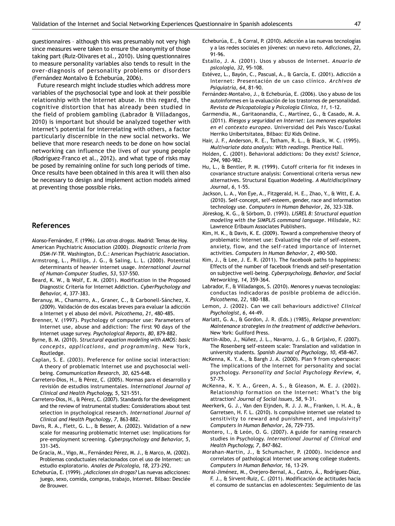questionnaires – although this was presumably not very high since measures were taken to ensure the anonymity of those taking part (Ruiz-Olivares et al., 2010). Using questionnaires to measure personality variables also tends to result in the over-diagnosis of personality problems or disorders (Fernández Montalvo & Echeburúa, 2006).

Future research might include studies which address more variables of the psychosocial type and look at their possible relationship with the Internet abuse. In this regard, the cognitive distortion that has already been studied in the field of problem gambling (Labrador & Villadangos, 2010) is important but should be analyzed together with Internet's potential for interrelating with others, a factor particularly discernible in the new social networks. We believe that more research needs to be done on how social networking can influence the lives of our young people (Rodríguez-Franco et al., 2012). and what type of risks may be posed by remaining online for such long periods of time. Once results have been obtained in this area it will then also be necessary to design and implement action models aimed at preventing those possible risks.

## **References**

- Alonso-Fernández, F. (1996). *Las otras drogas.* Madrid: Temas de Hoy. American Psychiatric Association (2000). *Diagnostic criteria from*
- *DSM-IV-TR.* Washington, D.C.: American Psychiatric Association. Armstrong, L., Phillips, J. G., & Saling, L. L. (2000). Potential determinants of heavier internet usage. *International Journal of Human-Computer Studies, 53*, 537-550.
- Beard, K. W., & Wolf, E. M. (2001). Modification in the Proposed Diagnostic Criteria for Internet Addiction. *CyberPsychology and Behavior, 4*, 377-383.
- Beranuy, M., Chamarro, A., Graner, C., & Carbonell-Sánchez, X. (2009). Validación de dos escalas breves para evaluar la adicción a Internet y el abuso del móvil. *Psicothema, 21*, 480-485.
- Brenner, V. (1997). Psychology of computer use: Parameters of Internet use, abuse and addiction: The first 90 days of the Internet usage survey. *Psychological Reports*, *80*, 879-882.
- Byrne, B. M. (2010). *Structural equation modeling with AMOS: basic concepts, applications, and programming*. New York, Routledge.
- Caplan, S. E. (2003). Preference for online social interaction: A theory of problematic Internet use and psychosocial wellbeing. *Comumunication Research, 30,* 625-648.
- Carretero-Dios, H., & Pérez, C. (2005). Normas para el desarrollo y revisión de estudios instrumentales. *International Journal of Clinical and Health Psychology, 5*, 521-551.
- Carretero-Dios, H., & Pérez, C. (2007). Standards for the development and the review of instrumental studies: Considerations about test selection in psychological research. *International Journal of Clinical and Health Psychology*, *7,* 863-882.
- Davis, R. A., Flett, G. L., & Besser, A. (2002). Validation of a new scale for measuring problematic Internet use: Implications for pre-employment screening. *Cyberpsychology and Behavior, 5,*  331-345.
- De Gracia, M., Vigo, M., Fernández Pérez, M. J., & Marco, M. (2002). Problemas conductuales relacionados con el uso de Internet: un estudio exploratorio. *Anales de Psicología, 18,* 273-292.
- Echeburúa, E. (1999). *¿Adicciones sin drogas?* Las nuevas adicciones: juego, sexo, comida, compras, trabajo, Internet. Bilbao: Desclée de Brouwer.
- Echeburúa, E., & Corral, P. (2010). Adicción a las nuevas tecnologías y a las redes sociales en jóvenes: un nuevo reto. *Adicciones, 22,*  91-96.
- Estallo, J. A. (2001). Usos y abusos de Internet. *Anuario de psicología, 32*, 95-108.
- Estévez, L., Bayón, C., Pascual, A., & García, E. (2001). Adicción a Internet: Presentación de un caso clínico. *Archivos de Psiquiatría, 64*, 81-90.
- Fernández-Montalvo, J., & Echeburúa, E. (2006). Uso y abuso de los autoinformes en la evaluación de los trastornos de personalidad. *Revista de Psicopatología y Psicología Clínica, 11,* 1-12.
- Garmendia, M., Garitaonandia, C., Martínez, G., & Casado, M. A. (2011)*. Riesgos y seguridad en Internet: Los menores españoles en el contexto europeo.* Universidad del País Vasco/Euskal Herriko Unibertsitatea, Bilbao: EU Kids Online.
- Hair, J. F., Anderson, R. E., Tatham, R. L., & Black, W. C. (1995). *Multivariate data analysis: With readings*. Prentice Hall.
- Holden, C. (2001). Behavioral addictions: Do they exist? *Science, 294*, 980-982.
- Hu, L., & Bentler, P. M. (1999). Cutoff criteria for fit indexes in covariance structure analysis: Conventional criteria versus new alternatives. Structural Equation Modeling. *A Multidisciplinary Journal, 6*, 1-55.
- Jackson, L. A., Von Eye, A., Fitzgerald, H. E., Zhao, Y., & Witt, E. A. (2010). Self-concept, self-esteem, gender, race and information technology use. *Computers in Human Behavior*, *26*, 323-328.
- Jöreskog, K. G., & Sörbom, D. (1993). *LISREL 8: Structural equation modeling with the SIMPLIS command language*. Hillsdale, NJ: Lawrence Erlbaum Associates Publishers.
- Kim, H. K., & Davis, K. E. (2009). Toward a comprehensive theory of problematic Internet use: Evaluating the role of self-esteem, anxiety, flow, and the self-rated importance of Internet activities. *Computers in Human Behavior*, *2*, 490-500.
- Kim, J., & Lee, J. E. R. (2011). The facebook paths to happiness: Effects of the number of facebook friends and self-presentation on subjective well-being. *Cyberpsychology, Behavior, and Social Networking, 14*, 359-364.
- Labrador, F., & Villadangos, S. (2010). Menores y nuevas tecnologías: conductas indicadoras de posible problema de adicción. *Psicothema, 22*, 180-188.
- Lemon, J. (2002). Can we call behaviours addictive? *Clinical Psychologist*, *6,* 44-49.
- Marlatt, G. A., & Gordon, J. R. (Eds.) (1985), *Relapse prevention: Maintenance strategies in the treatment of addictive behaviors*. New York: Guilford Press.
- Martín-Albo, J., Núñez, J. L., Navarro, J. G., & Grijalvo, F. (2007). The Rosenberg self-esteem scale: Translation and validation in university students. *Spanish Journal of Psychology*, *10*, 458-467.
- McKenna, K. Y. A., & Bargh J. A. (2000). Plan 9 from cyberspace: The implications of the Internet for personality and social psychology. *Personality and Social Psychology Review, 4*, 57-75.
- McKenna, K. Y. A., Green, A. S., & Gleason, M. E. J. (2002). Relationship formation on the Internet: What's the big attraction? *Journal of Social Issues, 58*, 9-31.
- Meerkerk, G. J., Van den Eijnden, R. J. J. M., Franken, I. H. A., & Garretsen, H. F. L. (2010). Is compulsive internet use related to sensitivity to reward and punishment, and impulsivity? *Computers in Human Behavior*, *26*, 729-735.
- Montero, I., & León, O. G. (2007). A guide for naming research studies in Psychology. *International Journal of Clinical and Health Psychology, 7*, 847-862.
- Morahan-Martin, J., & Schumacher, P. (2000). Incidence and correlates of pathological Internet use among college students. *Computers in Human Behavior, 16*, 13-29.
- Moral-Jiménez, M., Ovejero-Bernal, A., Castro, Á., Rodríguez-Díaz, F. J., & Sirvent-Ruiz, C. (2011). Modificación de actitudes hacia el consumo de sustancias en adolescentes: Seguimiento de las